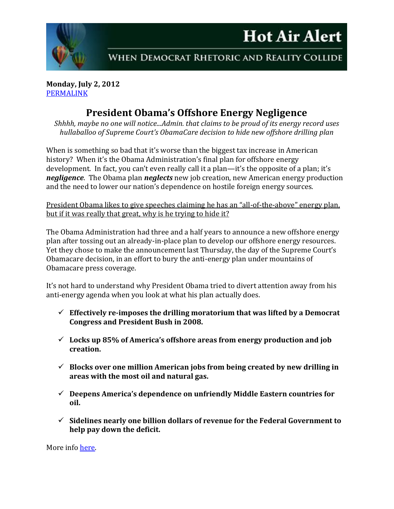



WHEN DEMOCRAT RHETORIC AND REALITY COLLIDE

**Monday, July 2, 2012** [PERMALINK](http://naturalresources.house.gov/News/DocumentSingle.aspx?DocumentID=301815)

## **President Obama's Offshore Energy Negligence**

*Shhhh, maybe no one will notice...Admin. that claims to be proud of its energy record uses hullaballoo of Supreme Court's ObamaCare decision to hide new offshore drilling plan*

When is something so bad that it's worse than the biggest tax increase in American history? When it's the Obama Administration's final plan for offshore energy development. In fact, you can't even really call it a plan—it's the opposite of a plan; it's *negligence*. The Obama plan *neglects* new job creation, new American energy production and the need to lower our nation's dependence on hostile foreign energy sources.

President Obama likes to give speeches claiming he has an "all-of-the-above" energy plan, but if it was really that great, why is he trying to hide it?

The Obama Administration had three and a half years to announce a new offshore energy plan after tossing out an already-in-place plan to develop our offshore energy resources. Yet they chose to make the announcement last Thursday, the day of the Supreme Court's Obamacare decision, in an effort to bury the anti-energy plan under mountains of Obamacare press coverage.

It's not hard to understand why President Obama tried to divert attention away from his anti-energy agenda when you look at what his plan actually does.

- **Effectively re-imposes the drilling moratorium that was lifted by a Democrat Congress and President Bush in 2008.**
- **Locks up 85% of America's offshore areas from energy production and job creation.**
- **Blocks over one million American jobs from being created by new drilling in areas with the most oil and natural gas.**
- **Deepens America's dependence on unfriendly Middle Eastern countries for oil.**
- **Sidelines nearly one billion dollars of revenue for the Federal Government to help pay down the deficit.**

More info [here.](http://naturalresources.house.gov/News/DocumentSingle.aspx?DocumentID=301283)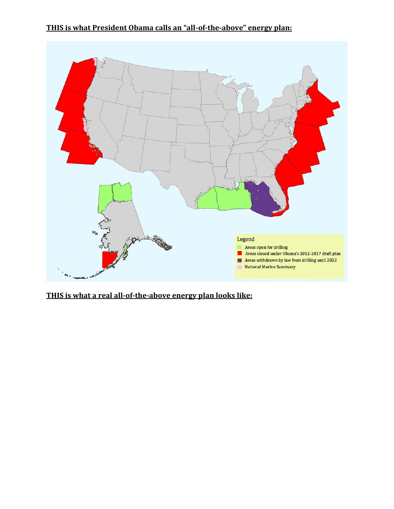## **THIS is what President Obama calls an "all-of-the-above" energy plan:**



**THIS is what a real all-of-the-above energy plan looks like:**